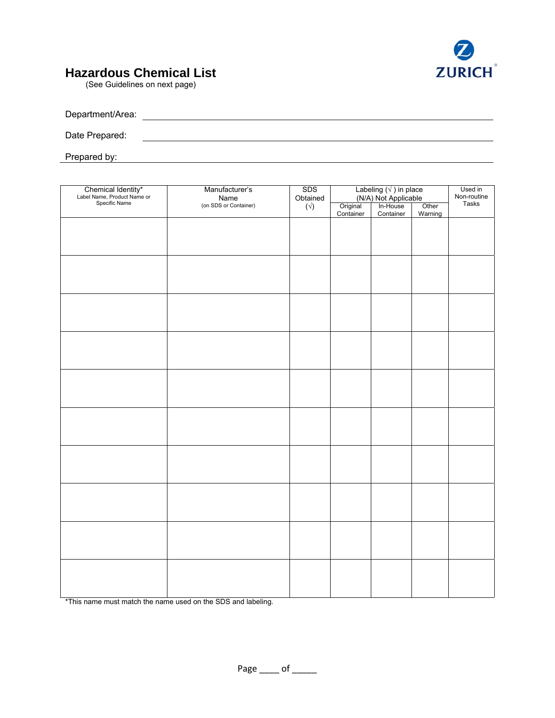

## **Hazardous Chemical List**

(See Guidelines on next page)

| Department/Area: |  |  |
|------------------|--|--|
|                  |  |  |
| Date Prepared:   |  |  |
|                  |  |  |

Prepared by: experience of the present of the set of the set of the set of the set of the set of the set of the set of the set of the set of the set of the set of the set of the set of the set of the set of the set of the

| Chemical Identity*<br>Label Name, Product Name or<br>Specific Name | Manufacturer's<br>Name<br>(on SDS or Container) | <b>SDS</b><br>Obtained<br>$(\forall)$ | Labeling $(\sqrt{})$ in place<br>$(N/A)$ Not Applicable<br>nal $\left[\right]$ In-House |           |                  | Used in<br>Non-routine |
|--------------------------------------------------------------------|-------------------------------------------------|---------------------------------------|-----------------------------------------------------------------------------------------|-----------|------------------|------------------------|
|                                                                    |                                                 |                                       | Original<br>Container                                                                   | Container | Other<br>Warning | Tasks                  |
|                                                                    |                                                 |                                       |                                                                                         |           |                  |                        |
|                                                                    |                                                 |                                       |                                                                                         |           |                  |                        |
|                                                                    |                                                 |                                       |                                                                                         |           |                  |                        |
|                                                                    |                                                 |                                       |                                                                                         |           |                  |                        |
|                                                                    |                                                 |                                       |                                                                                         |           |                  |                        |
|                                                                    |                                                 |                                       |                                                                                         |           |                  |                        |
|                                                                    |                                                 |                                       |                                                                                         |           |                  |                        |
|                                                                    |                                                 |                                       |                                                                                         |           |                  |                        |
|                                                                    |                                                 |                                       |                                                                                         |           |                  |                        |
|                                                                    |                                                 |                                       |                                                                                         |           |                  |                        |
|                                                                    |                                                 |                                       |                                                                                         |           |                  |                        |
|                                                                    |                                                 |                                       |                                                                                         |           |                  |                        |
|                                                                    |                                                 |                                       |                                                                                         |           |                  |                        |
|                                                                    |                                                 |                                       |                                                                                         |           |                  |                        |
|                                                                    |                                                 |                                       |                                                                                         |           |                  |                        |
|                                                                    |                                                 |                                       |                                                                                         |           |                  |                        |
|                                                                    |                                                 |                                       |                                                                                         |           |                  |                        |
|                                                                    |                                                 |                                       |                                                                                         |           |                  |                        |
|                                                                    |                                                 |                                       |                                                                                         |           |                  |                        |
|                                                                    |                                                 |                                       |                                                                                         |           |                  |                        |
|                                                                    |                                                 |                                       |                                                                                         |           |                  |                        |
|                                                                    |                                                 |                                       |                                                                                         |           |                  |                        |
|                                                                    |                                                 |                                       |                                                                                         |           |                  |                        |
|                                                                    |                                                 |                                       |                                                                                         |           |                  |                        |
|                                                                    |                                                 |                                       |                                                                                         |           |                  |                        |

\*This name must match the name used on the SDS and labeling.

Page \_\_\_\_ of \_\_\_\_\_